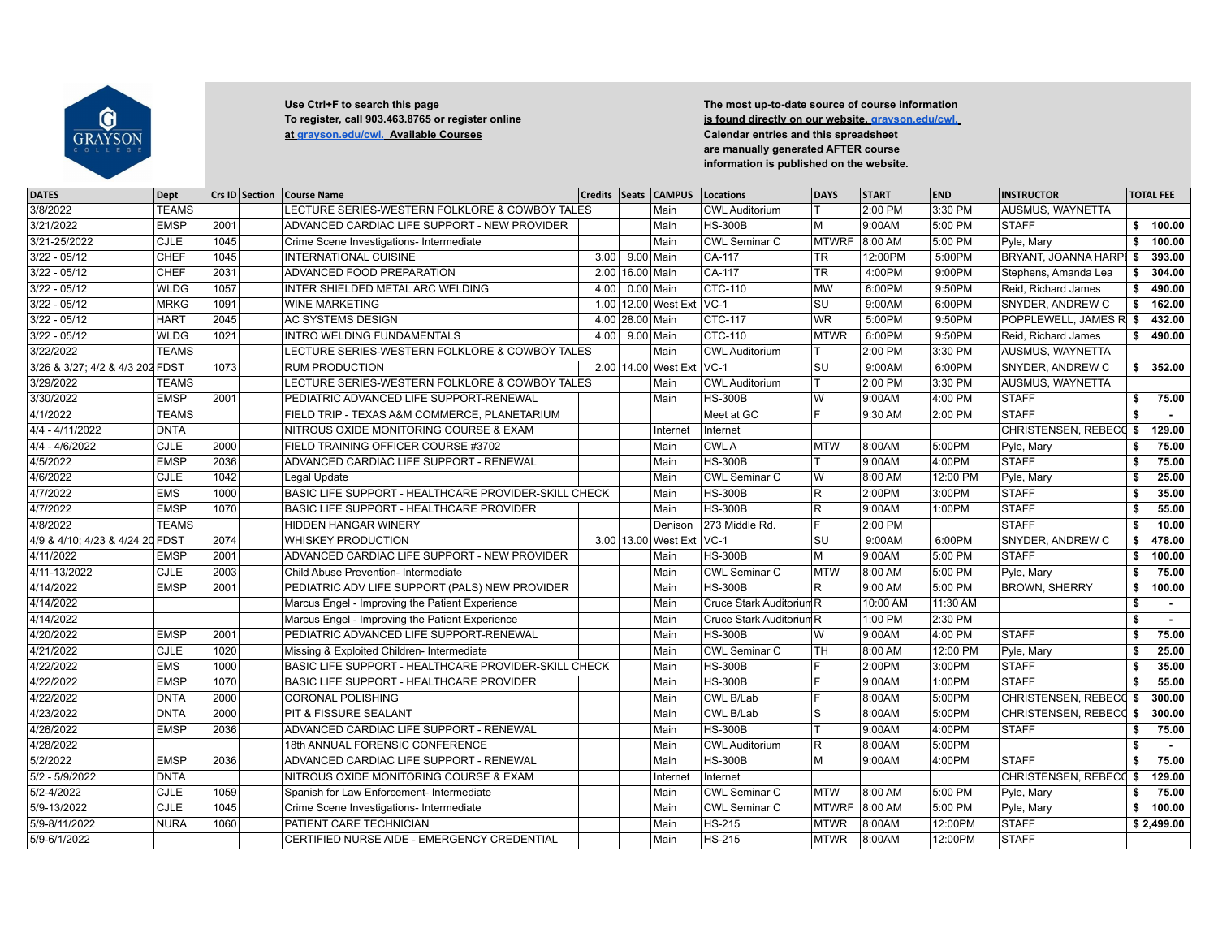

## Use Ctrl+F to search this page Use Ctrl+F to search this page **The most up-to-date source of course information**<br>To register, call 903.463.8765 or register online **The most up-search is found directly on our website, grays [at grayson.edu/cwl. Available Courses](http://grayson.edu/cwl.) Calendar entries and this spreadsheet**

**Is found directly on our website, grayson.edu/cwl. are manually generated AFTER course information is published on the website.**

| <b>DATES</b>                    | Dept         |      | Crs ID Section | <b>Course Name</b>                                   |                   |                 | Credits   Seats   CAMPUS   | Locations                           | <b>DAYS</b>    | <b>START</b> | <b>END</b> | <b>INSTRUCTOR</b>             |     | <b>TOTAL FEE</b> |
|---------------------------------|--------------|------|----------------|------------------------------------------------------|-------------------|-----------------|----------------------------|-------------------------------------|----------------|--------------|------------|-------------------------------|-----|------------------|
| 3/8/2022                        | <b>TEAMS</b> |      |                | ECTURE SERIES-WESTERN FOLKLORE & COWBOY TALES        |                   |                 | Main                       | <b>CWL Auditorium</b>               |                | 2:00 PM      | 3:30 PM    | AUSMUS, WAYNETTA              |     |                  |
| 3/21/2022                       | <b>EMSP</b>  | 2001 |                | ADVANCED CARDIAC LIFE SUPPORT - NEW PROVIDER         |                   |                 | Main                       | <b>HS-300B</b>                      | lм             | 9:00AM       | 5:00 PM    | <b>STAFF</b>                  | \$  | 100.00           |
| 3/21-25/2022                    | <b>CJLE</b>  | 1045 |                | Crime Scene Investigations- Intermediate             |                   |                 | Main                       | <b>CWL Seminar C</b>                | <b>MTWRF</b>   | 8:00 AM      | 5:00 PM    | Pyle, Mary                    | \$  | 100.00           |
| $3/22 - 05/12$                  | <b>CHEF</b>  | 1045 |                | <b>INTERNATIONAL CUISINE</b>                         | 3.00              | 9.00   Main     |                            | CA-117                              | <b>TR</b>      | 12:00PM      | 5:00PM     | BRYANT, JOANNA HARPI \$       |     | 393.00           |
| $3/22 - 05/12$                  | CHEF         | 2031 |                | ADVANCED FOOD PREPARATION                            |                   | 2.00 16.00 Main |                            | $CA-117$                            | TR.            | 4:00PM       | 9:00PM     | Stephens, Amanda Lea          | \$  | 304.00           |
| $3/22 - 05/12$                  | <b>WLDG</b>  | 1057 |                | INTER SHIELDED METAL ARC WELDING                     | 4.00 <sub>1</sub> | $0.00$ Main     |                            | <b>CTC-110</b>                      | <b>MW</b>      | 6:00PM       | 9:50PM     | Reid, Richard James           | \$  | 490.00           |
| $3/22 - 05/12$                  | <b>MRKG</b>  | 1091 |                | <b>WINE MARKETING</b>                                |                   |                 | 1.00 12.00 West Ext   VC-1 |                                     | SU             | 9:00AM       | 6:00PM     | <b>SNYDER, ANDREW C</b>       | \$  | 162.00           |
| $3/22 - 05/12$                  | <b>HART</b>  | 2045 |                | <b>AC SYSTEMS DESIGN</b>                             |                   | 4.00 28.00 Main |                            | <b>CTC-117</b>                      | <b>WR</b>      | 5:00PM       | 9:50PM     | POPPLEWELL, JAMES R.          |     | 432.00           |
| $3/22 - 05/12$                  | <b>WLDG</b>  | 1021 |                | <b>INTRO WELDING FUNDAMENTALS</b>                    | 4.00              | 9.00 Main       |                            | <b>CTC-110</b>                      | <b>MTWR</b>    | 6:00PM       | 9:50PM     | Reid, Richard James           | \$  | 490.00           |
| 3/22/2022                       | <b>TEAMS</b> |      |                | LECTURE SERIES-WESTERN FOLKLORE & COWBOY TALES       |                   |                 | Main                       | <b>CWL Auditorium</b>               |                | 2:00 PM      | 3:30 PM    | AUSMUS, WAYNETTA              |     |                  |
| 3/26 & 3/27; 4/2 & 4/3 202 FDST |              | 1073 |                | <b>RUM PRODUCTION</b>                                |                   |                 | 2.00 14.00 West Ext VC-1   |                                     | SU             | 9:00AM       | 6:00PM     | <b>SNYDER, ANDREW C</b>       |     | \$352.00         |
| 3/29/2022                       | <b>TEAMS</b> |      |                | LECTURE SERIES-WESTERN FOLKLORE & COWBOY TALES       |                   |                 | Main                       | <b>CWL Auditorium</b>               |                | 2:00 PM      | 3:30 PM    | AUSMUS, WAYNETTA              |     |                  |
| 3/30/2022                       | <b>EMSP</b>  | 2001 |                | PEDIATRIC ADVANCED LIFE SUPPORT-RENEWAL              |                   |                 | Main                       | <b>HS-300B</b>                      | W              | 9:00AM       | 4:00 PM    | <b>STAFF</b>                  | \$  | 75.00            |
| 4/1/2022                        | <b>TEAMS</b> |      |                | FIELD TRIP - TEXAS A&M COMMERCE, PLANETARIUM         |                   |                 |                            | Meet at GC                          | F.             | 9:30 AM      | 2:00 PM    | <b>STAFF</b>                  | -\$ |                  |
| 4/4 - 4/11/2022                 | <b>DNTA</b>  |      |                | NITROUS OXIDE MONITORING COURSE & EXAM               |                   |                 | Internet                   | Internet                            |                |              |            | CHRISTENSEN, REBECC \$        |     | 129.00           |
| $4/4 - 4/6/2022$                | <b>CJLE</b>  | 2000 |                | FIELD TRAINING OFFICER COURSE #3702                  |                   |                 | Main                       | <b>CWLA</b>                         | <b>IMTW</b>    | 8:00AM       | 5:00PM     | Pyle, Mary                    | s.  | 75.00            |
| 4/5/2022                        | <b>EMSP</b>  | 2036 |                | ADVANCED CARDIAC LIFE SUPPORT - RENEWAL              |                   |                 | Main                       | <b>HS-300B</b>                      |                | 9:00AM       | 4:00PM     | <b>STAFF</b>                  | \$  | 75.00            |
| 4/6/2022                        | CJLE         | 1042 |                | Legal Update                                         |                   |                 | Main                       | <b>CWL Seminar C</b>                | W              | 8:00 AM      | 12:00 PM   | Pyle, Mary                    | \$  | 25.00            |
| 4/7/2022                        | <b>EMS</b>   | 1000 |                | BASIC LIFE SUPPORT - HEALTHCARE PROVIDER-SKILL CHECK |                   |                 | Main                       | <b>HS-300B</b>                      | R.             | 2:00PM       | 3:00PM     | <b>STAFF</b>                  | \$  | 35.00            |
| 4/7/2022                        | <b>EMSP</b>  | 1070 |                | BASIC LIFE SUPPORT - HEALTHCARE PROVIDER             |                   |                 | Main                       | <b>HS-300B</b>                      | R              | 9:00AM       | 1:00PM     | <b>STAFF</b>                  | \$  | 55.00            |
| 4/8/2022                        | <b>TEAMS</b> |      |                | <b>HIDDEN HANGAR WINERY</b>                          |                   |                 | Denison                    | 273 Middle Rd.                      | E              | 2:00 PM      |            | <b>STAFF</b>                  | \$  | 10.00            |
| 4/9 & 4/10; 4/23 & 4/24 20 FDST |              | 2074 |                | <b>WHISKEY PRODUCTION</b>                            |                   |                 | 3.00 13.00 West Ext        | $VC-1$                              | SU             | 9:00AM       | 6:00PM     | SNYDER, ANDREW C              | \$  | 478.00           |
| 4/11/2022                       | <b>EMSP</b>  | 2001 |                | ADVANCED CARDIAC LIFE SUPPORT - NEW PROVIDER         |                   |                 | Main                       | <b>HS-300B</b>                      | м              | 9:00AM       | 5:00 PM    | <b>STAFF</b>                  | \$  | 100.00           |
| 4/11-13/2022                    | <b>CJLE</b>  | 2003 |                | Child Abuse Prevention- Intermediate                 |                   |                 | Main                       | <b>CWL Seminar C</b>                | <b>MTW</b>     | 8:00 AM      | 5:00 PM    | Pyle, Mary                    | Ŝ.  | 75.00            |
| 4/14/2022                       | <b>EMSP</b>  | 2001 |                | PEDIATRIC ADV LIFE SUPPORT (PALS) NEW PROVIDER       |                   |                 | Main                       | <b>HS-300B</b>                      | R              | 9:00 AM      | 5:00 PM    | <b>BROWN, SHERRY</b>          | \$  | 100.00           |
| 4/14/2022                       |              |      |                | Marcus Engel - Improving the Patient Experience      |                   |                 | Main                       | Cruce Stark Auditorium <sup>R</sup> |                | 10:00 AM     | 11:30 AM   |                               | -\$ | $\sim$           |
| 4/14/2022                       |              |      |                | Marcus Engel - Improving the Patient Experience      |                   |                 | Main                       | Cruce Stark Auditorium R            |                | 1:00 PM      | 2:30 PM    |                               | S.  |                  |
| 4/20/2022                       | <b>EMSP</b>  | 2001 |                | PEDIATRIC ADVANCED LIFE SUPPORT-RENEWAL              |                   |                 | Main                       | <b>HS-300B</b>                      | W              | 9:00AM       | 4:00 PM    | <b>STAFF</b>                  | s.  | 75.00            |
| 4/21/2022                       | CJLE         | 1020 |                | Missing & Exploited Children- Intermediate           |                   |                 | Main                       | <b>CWL Seminar C</b>                | TН             | 8:00 AM      | 12:00 PM   | Pyle, Mary                    | \$  | 25.00            |
| 4/22/2022                       | <b>EMS</b>   | 1000 |                | BASIC LIFE SUPPORT - HEALTHCARE PROVIDER-SKILL CHECK |                   |                 | Main                       | <b>HS-300B</b>                      | E.             | 2:00PM       | 3:00PM     | <b>STAFF</b>                  | \$  | 35.00            |
| 4/22/2022                       | <b>EMSP</b>  | 1070 |                | BASIC LIFE SUPPORT - HEALTHCARE PROVIDER             |                   |                 | Main                       | <b>HS-300B</b>                      |                | 9:00AM       | 1:00PM     | <b>STAFF</b>                  | \$  | 55.00            |
| 4/22/2022                       | <b>DNTA</b>  | 2000 |                | <b>CORONAL POLISHING</b>                             |                   |                 | Main                       | CWL B/Lab                           |                | 8:00AM       | 5:00PM     | CHRISTENSEN, REBECC \$        |     | 300.00           |
| 4/23/2022                       | <b>DNTA</b>  | 2000 |                | PIT & FISSURE SEALANT                                |                   |                 | Main                       | CWL B/Lab                           | $\overline{s}$ | 8:00AM       | 5:00PM     | CHRISTENSEN, REBECC \$        |     | 300.00           |
| 4/26/2022                       | <b>EMSP</b>  | 2036 |                | ADVANCED CARDIAC LIFE SUPPORT - RENEWAL              |                   |                 | Main                       | <b>HS-300B</b>                      |                | 9:00AM       | 4:00PM     | <b>STAFF</b>                  | \$  | 75.00            |
| 4/28/2022                       |              |      |                | 18th ANNUAL FORENSIC CONFERENCE                      |                   |                 | Main                       | <b>CWL Auditorium</b>               | lR.            | 8:00AM       | 5:00PM     |                               | \$  | $\sim$           |
| 5/2/2022                        | <b>EMSP</b>  | 2036 |                | ADVANCED CARDIAC LIFE SUPPORT - RENEWAL              |                   |                 | Main                       | <b>HS-300B</b>                      | M              | 9:00AM       | 4:00PM     | <b>STAFF</b>                  | \$  | 75.00            |
| $5/2 - 5/9/2022$                | <b>DNTA</b>  |      |                | NITROUS OXIDE MONITORING COURSE & EXAM               |                   |                 | Internet                   | Internet                            |                |              |            | <b>CHRISTENSEN. REBECC \$</b> |     | 129.00           |
| 5/2-4/2022                      | CJLE         | 1059 |                | Spanish for Law Enforcement- Intermediate            |                   |                 | Main                       | <b>CWL Seminar C</b>                | <b>MTW</b>     | 8:00 AM      | 5:00 PM    | Pyle, Mary                    | \$  | 75.00            |
| 5/9-13/2022                     | CJLE         | 1045 |                | Crime Scene Investigations- Intermediate             |                   |                 | Main                       | CWL Seminar C                       | <b>MTWRF</b>   | 8:00 AM      | 5:00 PM    | Pyle, Mary                    | \$  | 100.00           |
| 5/9-8/11/2022                   | <b>NURA</b>  | 1060 |                | PATIENT CARE TECHNICIAN                              |                   |                 | Main                       | <b>HS-215</b>                       | <b>MTWR</b>    | 8:00AM       | 12:00PM    | <b>STAFF</b>                  |     | \$2,499.00       |
| 5/9-6/1/2022                    |              |      |                | CERTIFIED NURSE AIDE - EMERGENCY CREDENTIAL          |                   |                 | Main                       | <b>HS-215</b>                       | <b>MTWR</b>    | 8:00AM       | 12:00PM    | <b>STAFF</b>                  |     |                  |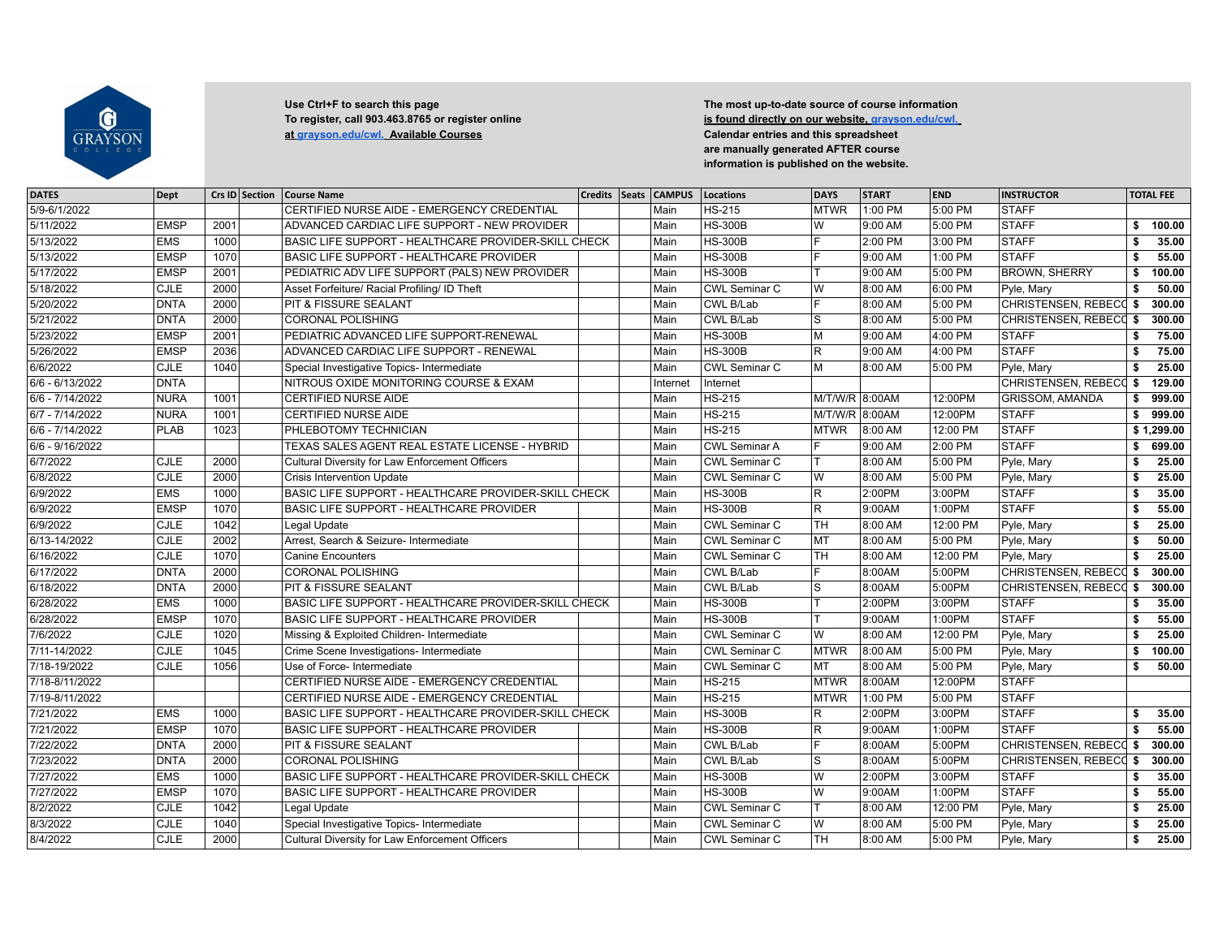

**[at grayson.edu/cwl. Available Courses](http://grayson.edu/cwl.) Calendar entries and this spreadsheet**

Use Ctrl+F to search this page Use Ctrl+F to search this page **The most up-to-date source of course information**<br>To register, call 903.463.8765 or register online **The most up-search is found directly on our website, grays Is found directly on our website, grayson.edu/cwl. are manually generated AFTER course information is published on the website.**

| <b>DATES</b>      | <b>Dept</b> | Crs ID Section | <b>Course Name</b>                                   | <b>Credits</b> | Seats CAMPUS | Locations            | <b>DAYS</b>    | <b>START</b>        | <b>END</b> | <b>INSTRUCTOR</b>      |    | <b>TOTAL FEE</b> |
|-------------------|-------------|----------------|------------------------------------------------------|----------------|--------------|----------------------|----------------|---------------------|------------|------------------------|----|------------------|
| 5/9-6/1/2022      |             |                | CERTIFIED NURSE AIDE - EMERGENCY CREDENTIAL          |                | Main         | <b>HS-215</b>        | <b>MTWR</b>    | 1:00 PM             | 5:00 PM    | <b>STAFF</b>           |    |                  |
| 5/11/2022         | <b>EMSP</b> | 2001           | ADVANCED CARDIAC LIFE SUPPORT - NEW PROVIDER         |                | Main         | <b>HS-300B</b>       | lw             | 9:00 AM             | 5:00 PM    | <b>STAFF</b>           | \$ | 100.00           |
| 5/13/2022         | <b>EMS</b>  | 1000           | BASIC LIFE SUPPORT - HEALTHCARE PROVIDER-SKILL CHECK |                | Main         | <b>HS-300B</b>       | lF.            | 2:00 PM             | 3:00 PM    | <b>STAFF</b>           | \$ | 35.00            |
| 5/13/2022         | <b>EMSP</b> | 1070           | <b>BASIC LIFE SUPPORT - HEALTHCARE PROVIDER</b>      |                | Main         | <b>HS-300B</b>       | F              | 9:00 AM             | 1:00 PM    | <b>STAFF</b>           | \$ | 55.00            |
| 5/17/2022         | <b>EMSP</b> | 2001           | PEDIATRIC ADV LIFE SUPPORT (PALS) NEW PROVIDER       |                | Main         | <b>HS-300B</b>       |                | 9:00 AM             | 5:00 PM    | <b>BROWN, SHERRY</b>   | s. | 100.00           |
| 5/18/2022         | CJLE        | 2000           | Asset Forfeiture/ Racial Profiling/ ID Theft         |                | Main         | <b>CWL Seminar C</b> | lw             | 8:00 AM             | 6:00 PM    | Pyle, Mary             | \$ | 50.00            |
| 5/20/2022         | <b>DNTA</b> | 2000           | PIT & FISSURE SEALANT                                |                | Main         | CWL B/Lab            | ΙF             | 8:00 AM             | 5:00 PM    | CHRISTENSEN, REBECC \$ |    | 300.00           |
| 5/21/2022         | <b>DNTA</b> | 2000           | <b>CORONAL POLISHING</b>                             |                | Main         | CWL B/Lab            | ls             | 8:00 AM             | 5:00 PM    | CHRISTENSEN, REBECC \$ |    | 300.00           |
| 5/23/2022         | <b>EMSP</b> | 2001           | PEDIATRIC ADVANCED LIFE SUPPORT-RENEWAL              |                | Main         | <b>HS-300B</b>       | lм             | 9:00 AM             | 4:00 PM    | <b>STAFF</b>           | \$ | 75.00            |
| 5/26/2022         | <b>EMSP</b> | 2036           | ADVANCED CARDIAC LIFE SUPPORT - RENEWAL              |                | Main         | <b>HS-300B</b>       | lR.            | 9:00 AM             | 4:00 PM    | <b>STAFF</b>           | Ŝ. | 75.00            |
| 6/6/2022          | <b>CJLE</b> | 1040           | Special Investigative Topics- Intermediate           |                | Main         | <b>CWL Seminar C</b> | lм             | 8:00 AM             | 5:00 PM    | Pyle, Mary             | \$ | 25.00            |
| $6/6 - 6/13/2022$ | <b>DNTA</b> |                | NITROUS OXIDE MONITORING COURSE & EXAM               |                | Internet     | Internet             |                |                     |            | CHRISTENSEN, REBECC \$ |    | 129.00           |
| 6/6 - 7/14/2022   | <b>NURA</b> | 1001           | CERTIFIED NURSE AIDE                                 |                | Main         | $HS-215$             | M/T/W/R 8:00AM |                     | 12:00PM    | <b>GRISSOM, AMANDA</b> | \$ | 999.00           |
| 6/7 - 7/14/2022   | <b>NURA</b> | 1001           | <b>CERTIFIED NURSE AIDE</b>                          |                | Main         | <b>HS-215</b>        | M/T/W/R 8:00AM |                     | 12:00PM    | <b>STAFF</b>           | \$ | 999.00           |
| 6/6 - 7/14/2022   | <b>PLAB</b> | 1023           | PHLEBOTOMY TECHNICIAN                                |                | Main         | $HS-215$             | <b>MTWR</b>    | 8:00 AM             | 12:00 PM   | <b>STAFF</b>           |    | \$1,299.00       |
| 6/6 - 9/16/2022   |             |                | TEXAS SALES AGENT REAL ESTATE LICENSE - HYBRID       |                | Main         | <b>CWL Seminar A</b> | lF.            | 9:00 AM             | 2:00 PM    | <b>STAFF</b>           | \$ | 699.00           |
| 6/7/2022          | CLE         | 2000           | Cultural Diversity for Law Enforcement Officers      |                | Main         | <b>CWL Seminar C</b> | lΤ             | 8:00 AM             | 5:00 PM    | Pyle, Mary             | \$ | 25.00            |
| 6/8/2022          | <b>CJLE</b> | 2000           | <b>Crisis Intervention Update</b>                    |                | Main         | <b>CWL Seminar C</b> | lw             | 8:00 AM             | 5:00 PM    | Pyle, Mary             | \$ | 25.00            |
| 6/9/2022          | <b>EMS</b>  | 1000           | BASIC LIFE SUPPORT - HEALTHCARE PROVIDER-SKILL CHECK |                | Main         | <b>HS-300B</b>       | R.             | 2:00PM              | 3:00PM     | <b>STAFF</b>           | \$ | 35.00            |
| 6/9/2022          | <b>EMSP</b> | 1070           | BASIC LIFE SUPPORT - HEALTHCARE PROVIDER             |                | Main         | <b>HS-300B</b>       | $ \mathsf{R} $ | 9:00AM              | 1:00PM     | <b>STAFF</b>           | \$ | 55.00            |
| 6/9/2022          | <b>CJLE</b> | 1042           | Legal Update                                         |                | Main         | <b>CWL Seminar C</b> | lтн            | 8:00 AM             | 12:00 PM   | Pyle, Mary             | \$ | 25.00            |
| 6/13-14/2022      | <b>CJLE</b> | 2002           | Arrest, Search & Seizure- Intermediate               |                | Main         | <b>CWL Seminar C</b> | MT             | 8:00 AM             | 5:00 PM    | Pyle, Mary             | \$ | 50.00            |
| 6/16/2022         | <b>CJLE</b> | 1070           | <b>Canine Encounters</b>                             |                | Main         | <b>CWL Seminar C</b> | <b>TH</b>      | 8:00 AM             | 12:00 PM   | Pyle, Mary             | \$ | 25.00            |
| 6/17/2022         | <b>DNTA</b> | 2000           | <b>CORONAL POLISHING</b>                             |                | Main         | CWL B/Lab            | lF.            | 8:00AM              | 5:00PM     | CHRISTENSEN, REBECC \$ |    | 300.00           |
| 6/18/2022         | <b>DNTA</b> | 2000           | PIT & FISSURE SEALANT                                |                | Main         | CWL B/Lab            | ls             | 8:00AM              | 5:00PM     | CHRISTENSEN, REBECC \$ |    | 300.00           |
| 6/28/2022         | <b>EMS</b>  | 1000           | BASIC LIFE SUPPORT - HEALTHCARE PROVIDER-SKILL CHECK |                | Main         | <b>HS-300B</b>       | Iт             | $2:00P\overline{M}$ | 3:00PM     | <b>STAFF</b>           | \$ | 35.00            |
| 6/28/2022         | <b>EMSP</b> | 1070           | <b>BASIC LIFE SUPPORT - HEALTHCARE PROVIDER</b>      |                | Main         | <b>HS-300B</b>       | lΤ             | 9:00AM              | 1:00PM     | <b>STAFF</b>           | \$ | 55.00            |
| 7/6/2022          | CJLE        | 1020           | Missing & Exploited Children- Intermediate           |                | Main         | <b>CWL Seminar C</b> | lw             | 8:00 AM             | 12:00 PM   | Pyle, Mary             | s. | 25.00            |
| 7/11-14/2022      | <b>CJLE</b> | 1045           | Crime Scene Investigations- Intermediate             |                | Main         | CWL Seminar C        | MTWR           | 8:00 AM             | 5:00 PM    | Pyle, Mary             | Ŝ. | 100.00           |
| 7/18-19/2022      | <b>CJLE</b> | 1056           | Use of Force- Intermediate                           |                | Main         | <b>CWL Seminar C</b> | lmt            | 8:00 AM             | 5:00 PM    | Pyle, Mary             | Ŝ. | 50.00            |
| 7/18-8/11/2022    |             |                | CERTIFIED NURSE AIDE - EMERGENCY CREDENTIAL          |                | Main         | <b>HS-215</b>        | <b>MTWR</b>    | 8:00AM              | 12:00PM    | <b>STAFF</b>           |    |                  |
| 7/19-8/11/2022    |             |                | CERTIFIED NURSE AIDE - EMERGENCY CREDENTIAL          |                | Main         | HS-215               | <b>MTWR</b>    | 1:00 PM             | 5:00 PM    | <b>STAFF</b>           |    |                  |
| 7/21/2022         | <b>EMS</b>  | 1000           | BASIC LIFE SUPPORT - HEALTHCARE PROVIDER-SKILL CHECK |                | Main         | <b>HS-300B</b>       | lR.            | 2:00PM              | 3:00PM     | <b>STAFF</b>           | \$ | 35.00            |
| 7/21/2022         | <b>EMSP</b> | 1070           | <b>BASIC LIFE SUPPORT - HEALTHCARE PROVIDER</b>      |                | Main         | <b>HS-300B</b>       | lR.            | 9:00AM              | 1:00PM     | <b>STAFF</b>           | \$ | 55.00            |
| 7/22/2022         | <b>DNTA</b> | 2000           | PIT & FISSURE SEALANT                                |                | Main         | CWL B/Lab            | lF.            | 8:00AM              | 5:00PM     | CHRISTENSEN, REBECC \$ |    | 300.00           |
| 7/23/2022         | <b>DNTA</b> | 2000           | <b>CORONAL POLISHING</b>                             |                | Main         | CWL B/Lab            | ls             | 8:00AM              | 5:00PM     | CHRISTENSEN, REBECC \$ |    | 300.00           |
| 7/27/2022         | <b>EMS</b>  | 1000           | BASIC LIFE SUPPORT - HEALTHCARE PROVIDER-SKILL CHECK |                | Main         | <b>HS-300B</b>       | lw             | 2:00PM              | 3:00PM     | <b>STAFF</b>           | s. | 35.00            |
| 7/27/2022         | <b>EMSP</b> | 1070           | BASIC LIFE SUPPORT - HEALTHCARE PROVIDER             |                | Main         | <b>HS-300B</b>       | lw             | 9:00AM              | 1:00PM     | <b>STAFF</b>           | \$ | 55.00            |
| 8/2/2022          | <b>CJLE</b> | 1042           | Legal Update                                         |                | Main         | <b>CWL Seminar C</b> | lΤ             | 8:00 AM             | 12:00 PM   | Pyle, Mary             | \$ | 25.00            |
| 8/3/2022          | <b>CJLE</b> | 1040           | Special Investigative Topics- Intermediate           |                | Main         | <b>CWL Seminar C</b> | lw             | 8:00 AM             | 5:00 PM    | Pyle, Mary             | \$ | 25.00            |
| 8/4/2022          | <b>CJLE</b> | 2000           | Cultural Diversity for Law Enforcement Officers      |                | Main         | <b>CWL Seminar C</b> | <b>TH</b>      | 8:00 AM             | 5:00 PM    | Pyle, Mary             | \$ | 25.00            |